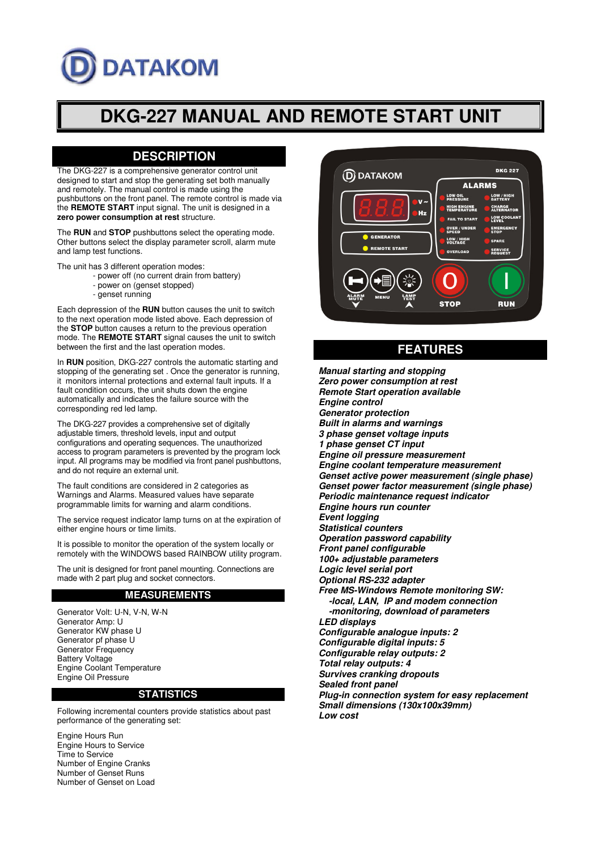# **DATAKOM**

# **DKG-227 MANUAL AND REMOTE START UNIT**

# **DESCRIPTION**

The DKG-227 is a comprehensive generator control unit designed to start and stop the generating set both manually and remotely. The manual control is made using the pushbuttons on the front panel. The remote control is made via the **REMOTE START** input signal. The unit is designed in a **zero power consumption at rest** structure.

The **RUN** and **STOP** pushbuttons select the operating mode. Other buttons select the display parameter scroll, alarm mute and lamp test functions.

The unit has 3 different operation modes:

- power off (no current drain from battery)
	- power on (genset stopped)
	- genset running

Each depression of the **RUN** button causes the unit to switch to the next operation mode listed above. Each depression of the **STOP** button causes a return to the previous operation mode. The **REMOTE START** signal causes the unit to switch between the first and the last operation modes.

In **RUN** position, DKG-227 controls the automatic starting and stopping of the generating set . Once the generator is running, it monitors internal protections and external fault inputs. If a fault condition occurs, the unit shuts down the engine automatically and indicates the failure source with the corresponding red led lamp.

The DKG-227 provides a comprehensive set of digitally adjustable timers, threshold levels, input and output configurations and operating sequences. The unauthorized access to program parameters is prevented by the program lock input. All programs may be modified via front panel pushbuttons, and do not require an external unit.

The fault conditions are considered in 2 categories as Warnings and Alarms. Measured values have separate programmable limits for warning and alarm conditions.

The service request indicator lamp turns on at the expiration of either engine hours or time limits.

It is possible to monitor the operation of the system locally or remotely with the WINDOWS based RAINBOW utility program.

The unit is designed for front panel mounting. Connections are made with 2 part plug and socket connectors.

#### **MEASUREMENTS**

Generator Volt: U-N, V-N, W-N Generator Amp: U Generator KW phase U Generator pf phase U Generator Frequency Battery Voltage Engine Coolant Temperature Engine Oil Pressure

#### **STATISTICS**

Following incremental counters provide statistics about past performance of the generating set:

Engine Hours Run Engine Hours to Service Time to Service Number of Engine Cranks Number of Genset Runs Number of Genset on Load



# **FEATURES**

**Manual starting and stopping Zero power consumption at rest Remote Start operation available Engine control Generator protection Built in alarms and warnings 3 phase genset voltage inputs 1 phase genset CT input Engine oil pressure measurement Engine coolant temperature measurement Genset active power measurement (single phase) Genset power factor measurement (single phase) Periodic maintenance request indicator Engine hours run counter Event logging Statistical counters Operation password capability Front panel configurable 100+ adjustable parameters Logic level serial port Optional RS-232 adapter Free MS-Windows Remote monitoring SW: -local, LAN, IP and modem connection -monitoring, download of parameters LED displays Configurable analogue inputs: 2 Configurable digital inputs: 5 Configurable relay outputs: 2 Total relay outputs: 4 Survives cranking dropouts Sealed front panel Plug-in connection system for easy replacement Small dimensions (130x100x39mm) Low cost**